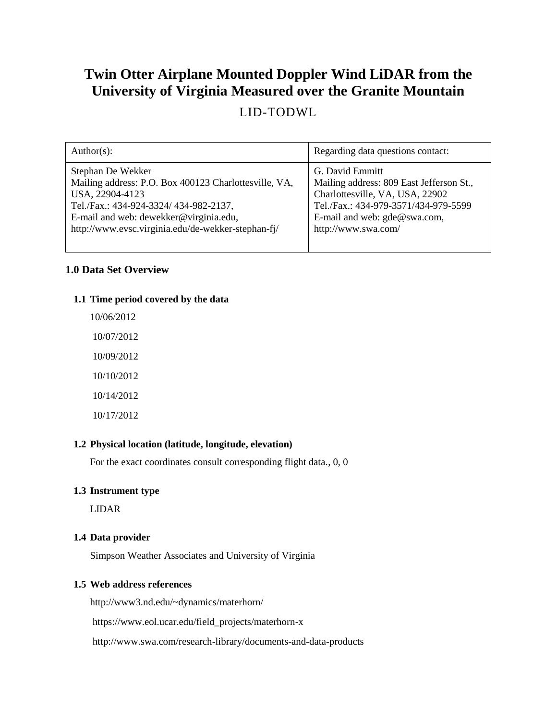# **Twin Otter Airplane Mounted Doppler Wind LiDAR from the University of Virginia Measured over the Granite Mountain**

## LID-TODWL

| Author(s):                                            | Regarding data questions contact:        |
|-------------------------------------------------------|------------------------------------------|
| Stephan De Wekker                                     | G. David Emmitt                          |
| Mailing address: P.O. Box 400123 Charlottesville, VA, | Mailing address: 809 East Jefferson St., |
| USA, 22904-4123                                       | Charlottesville, VA, USA, 22902          |
| Tel./Fax.: 434-924-3324/ 434-982-2137,                | Tel./Fax.: 434-979-3571/434-979-5599     |
| E-mail and web: dewekker@virginia.edu,                | E-mail and web: gde@swa.com,             |
| http://www.evsc.virginia.edu/de-wekker-stephan-fj/    | http://www.swa.com/                      |

## **1.0 Data Set Overview**

## **1.1 Time period covered by the data**

10/06/2012 10/07/2012 10/09/2012 10/10/2012 10/14/2012 10/17/2012

## **1.2 Physical location (latitude, longitude, elevation)**

For the exact coordinates consult corresponding flight data., 0, 0

#### **1.3 Instrument type**

LIDAR

## **1.4 Data provider**

Simpson Weather Associates and University of Virginia

#### **1.5 Web address references**

http://www3.nd.edu/~dynamics/materhorn/

https://www.eol.ucar.edu/field\_projects/materhorn-x

http://www.swa.com/research-library/documents-and-data-products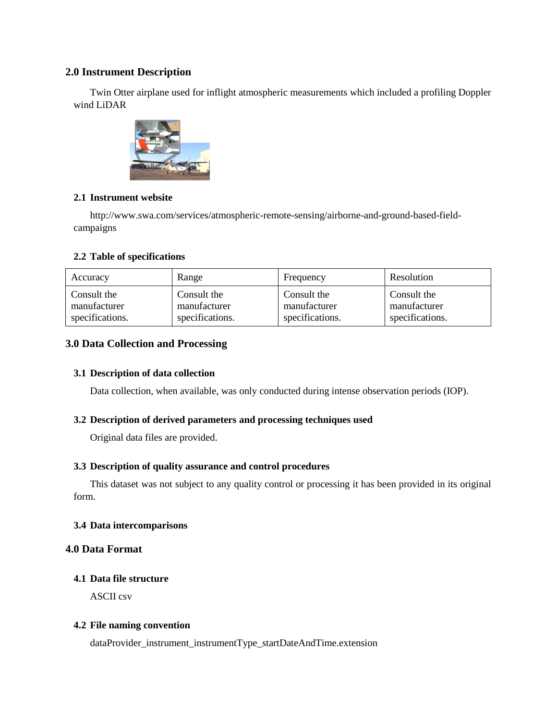## **2.0 Instrument Description**

Twin Otter airplane used for inflight atmospheric measurements which included a profiling Doppler wind LiDAR



## **2.1 Instrument website**

http://www.swa.com/services/atmospheric-remote-sensing/airborne-and-ground-based-fieldcampaigns

## **2.2 Table of specifications**

| Accuracy        | Range           | Frequency       | Resolution      |
|-----------------|-----------------|-----------------|-----------------|
| Consult the     | Consult the     | Consult the     | Consult the     |
| manufacturer    | manufacturer    | manufacturer    | manufacturer    |
| specifications. | specifications. | specifications. | specifications. |

## **3.0 Data Collection and Processing**

#### **3.1 Description of data collection**

Data collection, when available, was only conducted during intense observation periods (IOP).

#### **3.2 Description of derived parameters and processing techniques used**

Original data files are provided.

#### **3.3 Description of quality assurance and control procedures**

This dataset was not subject to any quality control or processing it has been provided in its original form.

#### **3.4 Data intercomparisons**

## **4.0 Data Format**

#### **4.1 Data file structure**

ASCII csv

#### **4.2 File naming convention**

dataProvider\_instrument\_instrumentType\_startDateAndTime.extension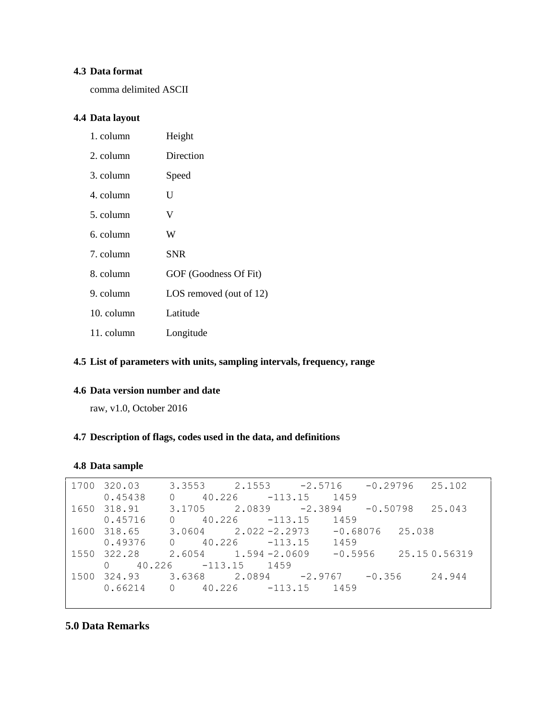## **4.3 Data format**

comma delimited ASCII

## **4.4 Data layout**

| 1. column  | Height                  |
|------------|-------------------------|
| 2. column  | Direction               |
| 3. column  | Speed                   |
| 4. column  | U                       |
| 5. column  | V                       |
| 6. column  | W                       |
| 7. column  | <b>SNR</b>              |
| 8. column  | GOF (Goodness Of Fit)   |
| 9. column  | LOS removed (out of 12) |
| 10. column | Latitude                |
| 11. column | Longitude               |

## **4.5 List of parameters with units, sampling intervals, frequency, range**

## **4.6 Data version number and date**

raw, v1.0, October 2016

## **4.7 Description of flags, codes used in the data, and definitions**

## **4.8 Data sample**

| 1700 | 320.03             | 3.3553             | 2.1553           | $-2.5716$ | $-0.29796$           | 25.102       |
|------|--------------------|--------------------|------------------|-----------|----------------------|--------------|
|      | 0.45438            | 40.226             | $-113.15$        | 1459      |                      |              |
| 1650 | 318.91             | 3.1705             | 2.0839           | $-2.3894$ | $-0.50798$           | 25.043       |
|      | 0.45716            | 40.226<br>$\Omega$ | $-113.15$        | 1459      |                      |              |
| 1600 | 318.65             | 3.0604             | $2.022 - 2.2973$ |           | $-0.68076$<br>25.038 |              |
|      | 0.49376            | $0 \t 40.226$      | $-113.15$        | 1459      |                      |              |
| 1550 | 322.28             | 2.6054             | $1.594 - 2.0609$ | $-0.5956$ |                      | 25.150.56319 |
|      | 40.226<br>$\Omega$ | $-113.15$          | 1459             |           |                      |              |
| 1500 | 324.93             | 3.6368             | 2.0894           | $-2.9767$ | $-0.356$             | 24.944       |
|      | 0.66214            | 40.226<br>$\Omega$ | $-113.15$        | 1459      |                      |              |

## **5.0 Data Remarks**